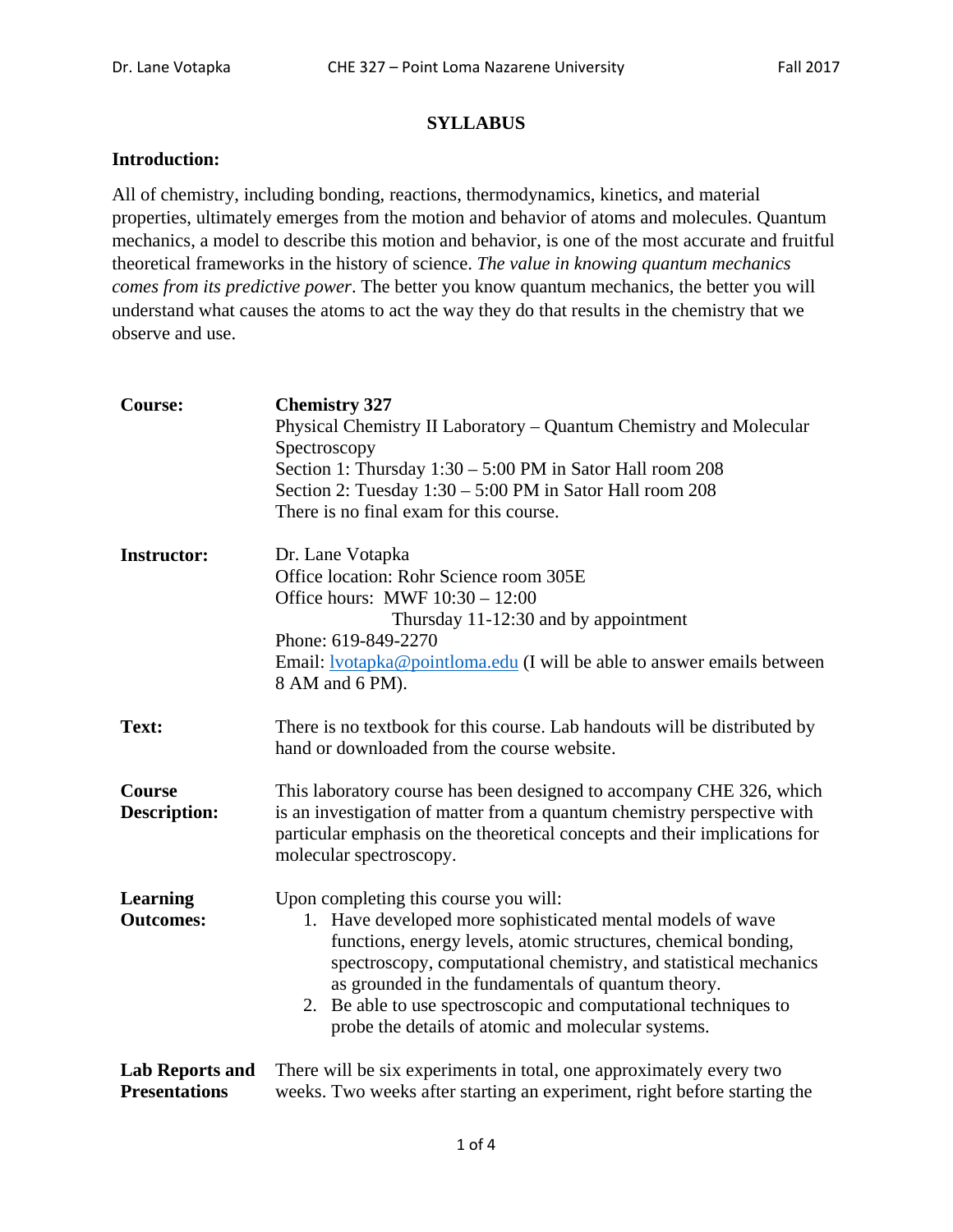## **SYLLABUS**

## **Introduction:**

All of chemistry, including bonding, reactions, thermodynamics, kinetics, and material properties, ultimately emerges from the motion and behavior of atoms and molecules. Quantum mechanics, a model to describe this motion and behavior, is one of the most accurate and fruitful theoretical frameworks in the history of science. *The value in knowing quantum mechanics comes from its predictive power*. The better you know quantum mechanics, the better you will understand what causes the atoms to act the way they do that results in the chemistry that we observe and use.

| <b>Course:</b>                                 | <b>Chemistry 327</b><br>Physical Chemistry II Laboratory – Quantum Chemistry and Molecular<br>Spectroscopy<br>Section 1: Thursday 1:30 – 5:00 PM in Sator Hall room 208<br>Section 2: Tuesday $1:30 - 5:00$ PM in Sator Hall room 208<br>There is no final exam for this course.                                                                                                                                            |  |  |
|------------------------------------------------|-----------------------------------------------------------------------------------------------------------------------------------------------------------------------------------------------------------------------------------------------------------------------------------------------------------------------------------------------------------------------------------------------------------------------------|--|--|
| <b>Instructor:</b>                             | Dr. Lane Votapka<br>Office location: Rohr Science room 305E<br>Office hours: MWF $10:30 - 12:00$<br>Thursday 11-12:30 and by appointment<br>Phone: 619-849-2270<br>Email: <b>lyotapka@pointloma.edu</b> (I will be able to answer emails between<br>8 AM and 6 PM).                                                                                                                                                         |  |  |
| Text:                                          | There is no textbook for this course. Lab handouts will be distributed by<br>hand or downloaded from the course website.                                                                                                                                                                                                                                                                                                    |  |  |
| <b>Course</b><br><b>Description:</b>           | This laboratory course has been designed to accompany CHE 326, which<br>is an investigation of matter from a quantum chemistry perspective with<br>particular emphasis on the theoretical concepts and their implications for<br>molecular spectroscopy.                                                                                                                                                                    |  |  |
| <b>Learning</b><br><b>Outcomes:</b>            | Upon completing this course you will:<br>Have developed more sophisticated mental models of wave<br>1.<br>functions, energy levels, atomic structures, chemical bonding,<br>spectroscopy, computational chemistry, and statistical mechanics<br>as grounded in the fundamentals of quantum theory.<br>2. Be able to use spectroscopic and computational techniques to<br>probe the details of atomic and molecular systems. |  |  |
| <b>Lab Reports and</b><br><b>Presentations</b> | There will be six experiments in total, one approximately every two<br>weeks. Two weeks after starting an experiment, right before starting the                                                                                                                                                                                                                                                                             |  |  |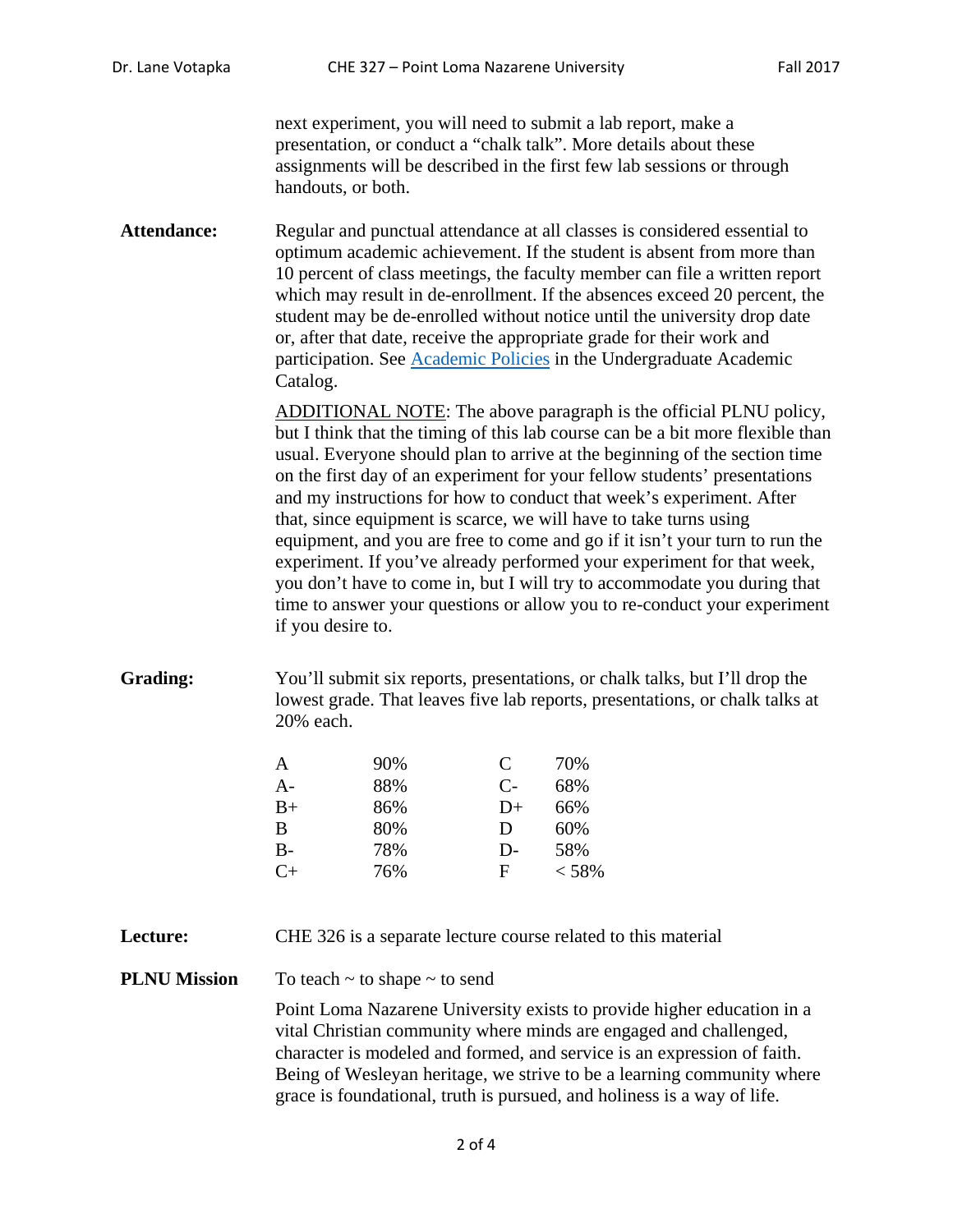next experiment, you will need to submit a lab report, make a presentation, or conduct a "chalk talk". More details about these assignments will be described in the first few lab sessions or through handouts, or both.

Attendance: Regular and punctual attendance at all classes is considered essential to optimum academic achievement. If the student is absent from more than 10 percent of class meetings, the faculty member can file a written report which may result in de-enrollment. If the absences exceed 20 percent, the student may be de-enrolled without notice until the university drop date or, after that date, receive the appropriate grade for their work and participation. See [Academic Policies](http://catalog.pointloma.edu/content.php?catoid=18&navoid=1278) in the Undergraduate Academic Catalog.

> ADDITIONAL NOTE: The above paragraph is the official PLNU policy, but I think that the timing of this lab course can be a bit more flexible than usual. Everyone should plan to arrive at the beginning of the section time on the first day of an experiment for your fellow students' presentations and my instructions for how to conduct that week's experiment. After that, since equipment is scarce, we will have to take turns using equipment, and you are free to come and go if it isn't your turn to run the experiment. If you've already performed your experiment for that week, you don't have to come in, but I will try to accommodate you during that time to answer your questions or allow you to re-conduct your experiment if you desire to.

**Grading:** You'll submit six reports, presentations, or chalk talks, but I'll drop the lowest grade. That leaves five lab reports, presentations, or chalk talks at 20% each.

| A       | 90% | C    | 70%   |
|---------|-----|------|-------|
| A-      | 88% | $C-$ | 68%   |
| B+      | 86% | $D+$ | 66%   |
| B       | 80% | D    | 60%   |
| В-      | 78% | $D-$ | 58%   |
| $C_{+}$ | 76% | F    | < 58% |

**Lecture:** CHE 326 is a separate lecture course related to this material

**PLNU Mission** To teach ~ to shape ~ to send

Point Loma Nazarene University exists to provide higher education in a vital Christian community where minds are engaged and challenged, character is modeled and formed, and service is an expression of faith. Being of Wesleyan heritage, we strive to be a learning community where grace is foundational, truth is pursued, and holiness is a way of life.